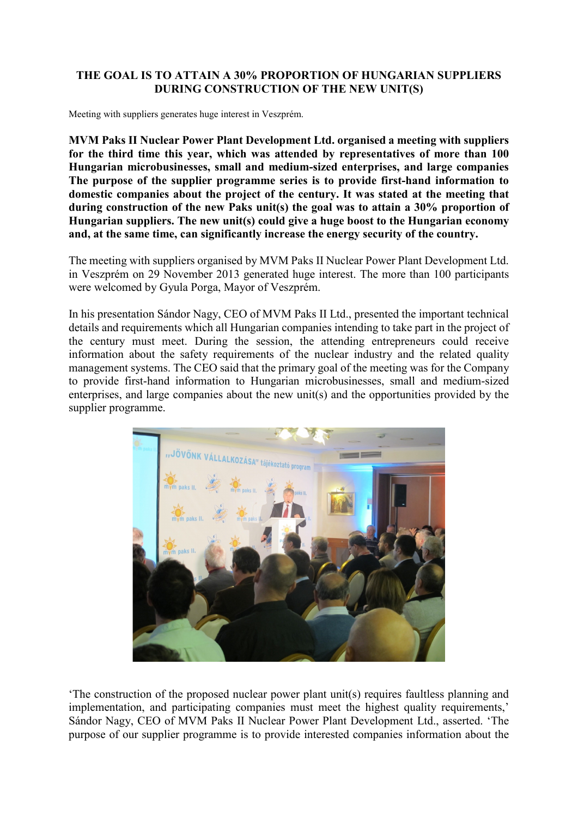## **THE GOAL IS TO ATTAIN A 30% PROPORTION OF HUNGARIAN SUPPLIERS DURING CONSTRUCTION OF THE NEW UNIT(S)**

Meeting with suppliers generates huge interest in Veszprém.

**MVM Paks II Nuclear Power Plant Development Ltd. organised a meeting with suppliers for the third time this year, which was attended by representatives of more than 100 Hungarian microbusinesses, small and medium-sized enterprises, and large companies The purpose of the supplier programme series is to provide first-hand information to domestic companies about the project of the century. It was stated at the meeting that during construction of the new Paks unit(s) the goal was to attain a 30% proportion of Hungarian suppliers. The new unit(s) could give a huge boost to the Hungarian economy and, at the same time, can significantly increase the energy security of the country.**

The meeting with suppliers organised by MVM Paks II Nuclear Power Plant Development Ltd. in Veszprém on 29 November 2013 generated huge interest. The more than 100 participants were welcomed by Gyula Porga, Mayor of Veszprém.

In his presentation Sándor Nagy, CEO of MVM Paks II Ltd., presented the important technical details and requirements which all Hungarian companies intending to take part in the project of the century must meet. During the session, the attending entrepreneurs could receive information about the safety requirements of the nuclear industry and the related quality management systems. The CEO said that the primary goal of the meeting was for the Company to provide first-hand information to Hungarian microbusinesses, small and medium-sized enterprises, and large companies about the new unit(s) and the opportunities provided by the supplier programme.



'The construction of the proposed nuclear power plant unit(s) requires faultless planning and implementation, and participating companies must meet the highest quality requirements,' Sándor Nagy, CEO of MVM Paks II Nuclear Power Plant Development Ltd., asserted. 'The purpose of our supplier programme is to provide interested companies information about the